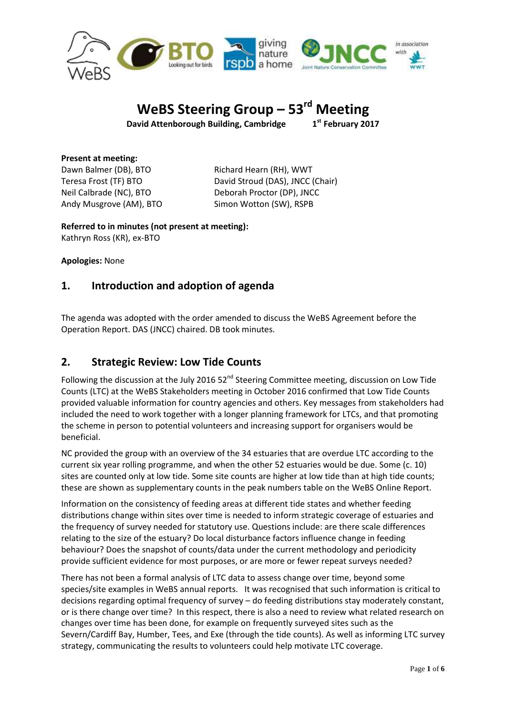

# **WeBS Steering Group – 53 rd Meeting**

**David Attenborough Building, Cambridge 1**

**st February 2017**

**Present at meeting:** Dawn Balmer (DB), BTO Richard Hearn (RH), WWT Andy Musgrove (AM), BTO Simon Wotton (SW), RSPB

Teresa Frost (TF) BTO David Stroud (DAS), JNCC (Chair) Neil Calbrade (NC), BTO Deborah Proctor (DP), JNCC

**Referred to in minutes (not present at meeting):** Kathryn Ross (KR), ex-BTO

**Apologies:** None

## **1. Introduction and adoption of agenda**

The agenda was adopted with the order amended to discuss the WeBS Agreement before the Operation Report. DAS (JNCC) chaired. DB took minutes.

## **2. Strategic Review: Low Tide Counts**

Following the discussion at the July 2016 52<sup>nd</sup> Steering Committee meeting, discussion on Low Tide Counts (LTC) at the WeBS Stakeholders meeting in October 2016 confirmed that Low Tide Counts provided valuable information for country agencies and others. Key messages from stakeholders had included the need to work together with a longer planning framework for LTCs, and that promoting the scheme in person to potential volunteers and increasing support for organisers would be beneficial.

NC provided the group with an overview of the 34 estuaries that are overdue LTC according to the current six year rolling programme, and when the other 52 estuaries would be due. Some (c. 10) sites are counted only at low tide. Some site counts are higher at low tide than at high tide counts; these are shown as supplementary counts in the peak numbers table on the WeBS Online Report.

Information on the consistency of feeding areas at different tide states and whether feeding distributions change within sites over time is needed to inform strategic coverage of estuaries and the frequency of survey needed for statutory use. Questions include: are there scale differences relating to the size of the estuary? Do local disturbance factors influence change in feeding behaviour? Does the snapshot of counts/data under the current methodology and periodicity provide sufficient evidence for most purposes, or are more or fewer repeat surveys needed?

There has not been a formal analysis of LTC data to assess change over time, beyond some species/site examples in WeBS annual reports. It was recognised that such information is critical to decisions regarding optimal frequency of survey – do feeding distributions stay moderately constant, or is there change over time? In this respect, there is also a need to review what related research on changes over time has been done, for example on frequently surveyed sites such as the Severn/Cardiff Bay, Humber, Tees, and Exe (through the tide counts). As well as informing LTC survey strategy, communicating the results to volunteers could help motivate LTC coverage.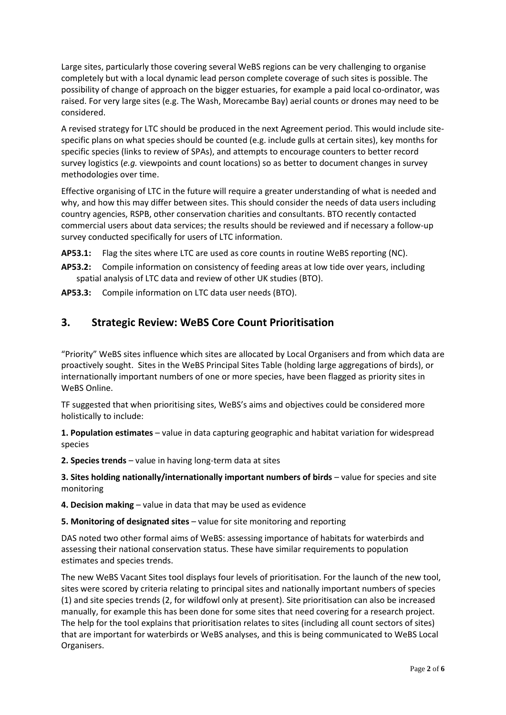Large sites, particularly those covering several WeBS regions can be very challenging to organise completely but with a local dynamic lead person complete coverage of such sites is possible. The possibility of change of approach on the bigger estuaries, for example a paid local co-ordinator, was raised. For very large sites (e.g. The Wash, Morecambe Bay) aerial counts or drones may need to be considered.

A revised strategy for LTC should be produced in the next Agreement period. This would include sitespecific plans on what species should be counted (e.g. include gulls at certain sites), key months for specific species (links to review of SPAs), and attempts to encourage counters to better record survey logistics (*e.g.* viewpoints and count locations) so as better to document changes in survey methodologies over time.

Effective organising of LTC in the future will require a greater understanding of what is needed and why, and how this may differ between sites. This should consider the needs of data users including country agencies, RSPB, other conservation charities and consultants. BTO recently contacted commercial users about data services; the results should be reviewed and if necessary a follow-up survey conducted specifically for users of LTC information.

**AP53.1:** Flag the sites where LTC are used as core counts in routine WeBS reporting (NC).

**AP53.2:** Compile information on consistency of feeding areas at low tide over years, including spatial analysis of LTC data and review of other UK studies (BTO).

**AP53.3:** Compile information on LTC data user needs (BTO).

## **3. Strategic Review: WeBS Core Count Prioritisation**

"Priority" WeBS sites influence which sites are allocated by Local Organisers and from which data are proactively sought. Sites in the WeBS Principal Sites Table (holding large aggregations of birds), or internationally important numbers of one or more species, have been flagged as priority sites in WeBS Online.

TF suggested that when prioritising sites, WeBS's aims and objectives could be considered more holistically to include:

**1. Population estimates** – value in data capturing geographic and habitat variation for widespread species

**2. Species trends** – value in having long-term data at sites

**3. Sites holding nationally/internationally important numbers of birds** – value for species and site monitoring

**4. Decision making** – value in data that may be used as evidence

**5. Monitoring of designated sites** – value for site monitoring and reporting

DAS noted two other formal aims of WeBS: assessing importance of habitats for waterbirds and assessing their national conservation status. These have similar requirements to population estimates and species trends.

The new WeBS Vacant Sites tool displays four levels of prioritisation. For the launch of the new tool, sites were scored by criteria relating to principal sites and nationally important numbers of species (1) and site species trends (2, for wildfowl only at present). Site prioritisation can also be increased manually, for example this has been done for some sites that need covering for a research project. The help for the tool explains that prioritisation relates to sites (including all count sectors of sites) that are important for waterbirds or WeBS analyses, and this is being communicated to WeBS Local Organisers.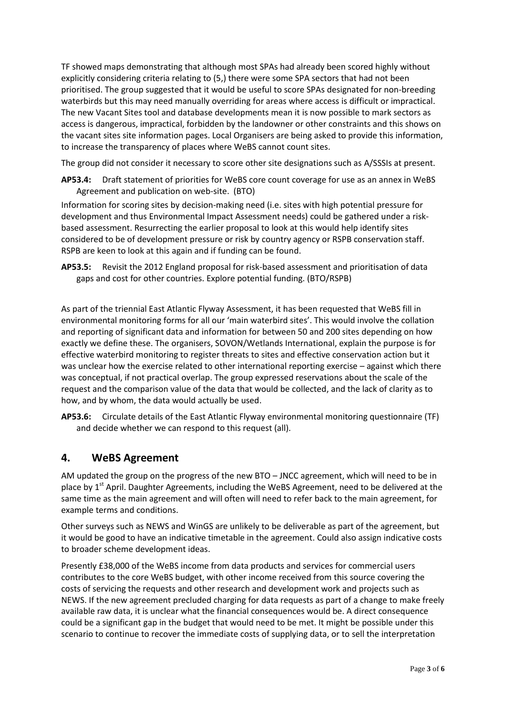TF showed maps demonstrating that although most SPAs had already been scored highly without explicitly considering criteria relating to (5,) there were some SPA sectors that had not been prioritised. The group suggested that it would be useful to score SPAs designated for non-breeding waterbirds but this may need manually overriding for areas where access is difficult or impractical. The new Vacant Sites tool and database developments mean it is now possible to mark sectors as access is dangerous, impractical, forbidden by the landowner or other constraints and this shows on the vacant sites site information pages. Local Organisers are being asked to provide this information, to increase the transparency of places where WeBS cannot count sites.

The group did not consider it necessary to score other site designations such as A/SSSIs at present.

**AP53.4:** Draft statement of priorities for WeBS core count coverage for use as an annex in WeBS Agreement and publication on web-site. (BTO)

Information for scoring sites by decision-making need (i.e. sites with high potential pressure for development and thus Environmental Impact Assessment needs) could be gathered under a riskbased assessment. Resurrecting the earlier proposal to look at this would help identify sites considered to be of development pressure or risk by country agency or RSPB conservation staff. RSPB are keen to look at this again and if funding can be found.

**AP53.5:** Revisit the 2012 England proposal for risk-based assessment and prioritisation of data gaps and cost for other countries. Explore potential funding. (BTO/RSPB)

As part of the triennial East Atlantic Flyway Assessment, it has been requested that WeBS fill in environmental monitoring forms for all our 'main waterbird sites'. This would involve the collation and reporting of significant data and information for between 50 and 200 sites depending on how exactly we define these. The organisers, SOVON/Wetlands International, explain the purpose is for effective waterbird monitoring to register threats to sites and effective conservation action but it was unclear how the exercise related to other international reporting exercise – against which there was conceptual, if not practical overlap. The group expressed reservations about the scale of the request and the comparison value of the data that would be collected, and the lack of clarity as to how, and by whom, the data would actually be used.

**AP53.6:** Circulate details of the East Atlantic Flyway environmental monitoring questionnaire (TF) and decide whether we can respond to this request (all).

## **4. WeBS Agreement**

AM updated the group on the progress of the new BTO – JNCC agreement, which will need to be in place by 1<sup>st</sup> April. Daughter Agreements, including the WeBS Agreement, need to be delivered at the same time as the main agreement and will often will need to refer back to the main agreement, for example terms and conditions.

Other surveys such as NEWS and WinGS are unlikely to be deliverable as part of the agreement, but it would be good to have an indicative timetable in the agreement. Could also assign indicative costs to broader scheme development ideas.

Presently £38,000 of the WeBS income from data products and services for commercial users contributes to the core WeBS budget, with other income received from this source covering the costs of servicing the requests and other research and development work and projects such as NEWS. If the new agreement precluded charging for data requests as part of a change to make freely available raw data, it is unclear what the financial consequences would be. A direct consequence could be a significant gap in the budget that would need to be met. It might be possible under this scenario to continue to recover the immediate costs of supplying data, or to sell the interpretation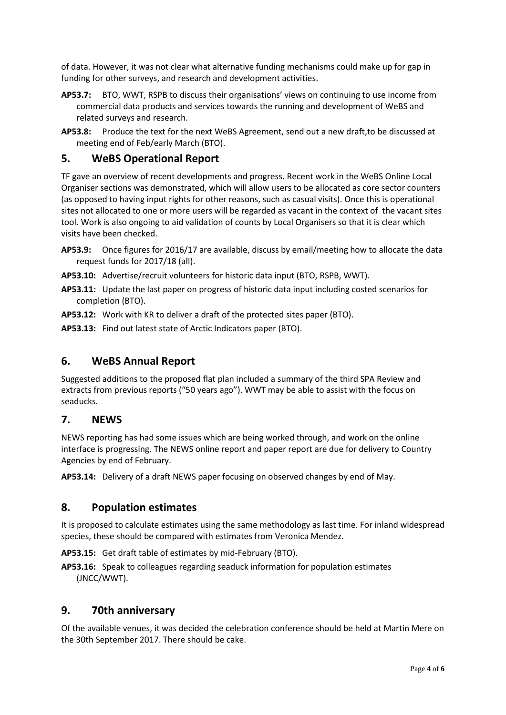of data. However, it was not clear what alternative funding mechanisms could make up for gap in funding for other surveys, and research and development activities.

- **AP53.7:** BTO, WWT, RSPB to discuss their organisations' views on continuing to use income from commercial data products and services towards the running and development of WeBS and related surveys and research.
- **AP53.8:** Produce the text for the next WeBS Agreement, send out a new draft,to be discussed at meeting end of Feb/early March (BTO).

### **5. WeBS Operational Report**

TF gave an overview of recent developments and progress. Recent work in the WeBS Online Local Organiser sections was demonstrated, which will allow users to be allocated as core sector counters (as opposed to having input rights for other reasons, such as casual visits). Once this is operational sites not allocated to one or more users will be regarded as vacant in the context of the vacant sites tool. Work is also ongoing to aid validation of counts by Local Organisers so that it is clear which visits have been checked.

- **AP53.9:** Once figures for 2016/17 are available, discuss by email/meeting how to allocate the data request funds for 2017/18 (all).
- **AP53.10:** Advertise/recruit volunteers for historic data input (BTO, RSPB, WWT).
- **AP53.11:** Update the last paper on progress of historic data input including costed scenarios for completion (BTO).
- **AP53.12:** Work with KR to deliver a draft of the protected sites paper (BTO).
- **AP53.13:** Find out latest state of Arctic Indicators paper (BTO).

#### **6. WeBS Annual Report**

Suggested additions to the proposed flat plan included a summary of the third SPA Review and extracts from previous reports ("50 years ago"). WWT may be able to assist with the focus on seaducks.

#### **7. NEWS**

NEWS reporting has had some issues which are being worked through, and work on the online interface is progressing. The NEWS online report and paper report are due for delivery to Country Agencies by end of February.

**AP53.14:** Delivery of a draft NEWS paper focusing on observed changes by end of May.

#### **8. Population estimates**

It is proposed to calculate estimates using the same methodology as last time. For inland widespread species, these should be compared with estimates from Veronica Mendez.

**AP53.15:** Get draft table of estimates by mid-February (BTO).

**AP53.16:** Speak to colleagues regarding seaduck information for population estimates (JNCC/WWT).

#### **9. 70th anniversary**

Of the available venues, it was decided the celebration conference should be held at Martin Mere on the 30th September 2017. There should be cake.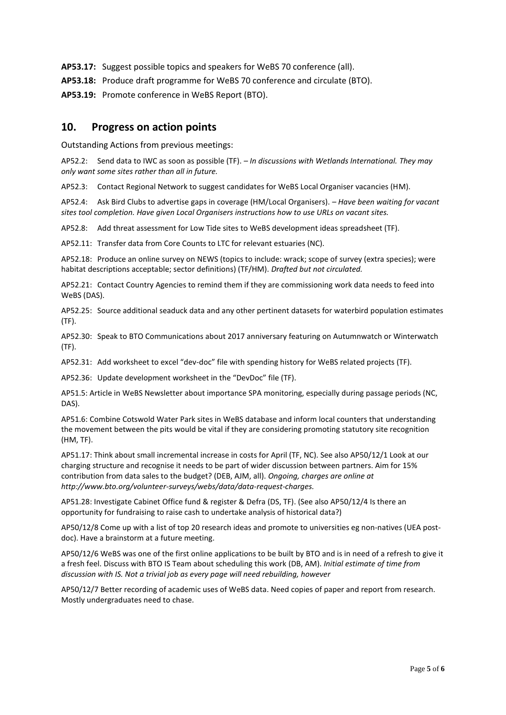**AP53.17:** Suggest possible topics and speakers for WeBS 70 conference (all).

**AP53.18:** Produce draft programme for WeBS 70 conference and circulate (BTO).

**AP53.19:** Promote conference in WeBS Report (BTO).

#### **10. Progress on action points**

Outstanding Actions from previous meetings:

AP52.2: Send data to IWC as soon as possible (TF). *– In discussions with Wetlands International. They may only want some sites rather than all in future.*

AP52.3: Contact Regional Network to suggest candidates for WeBS Local Organiser vacancies (HM).

AP52.4: Ask Bird Clubs to advertise gaps in coverage (HM/Local Organisers). *– Have been waiting for vacant sites tool completion. Have given Local Organisers instructions how to use URLs on vacant sites.*

AP52.8: Add threat assessment for Low Tide sites to WeBS development ideas spreadsheet (TF).

AP52.11: Transfer data from Core Counts to LTC for relevant estuaries (NC).

AP52.18: Produce an online survey on NEWS (topics to include: wrack; scope of survey (extra species); were habitat descriptions acceptable; sector definitions) (TF/HM). *Drafted but not circulated.*

AP52.21: Contact Country Agencies to remind them if they are commissioning work data needs to feed into WeBS (DAS).

AP52.25: Source additional seaduck data and any other pertinent datasets for waterbird population estimates (TF).

AP52.30: Speak to BTO Communications about 2017 anniversary featuring on Autumnwatch or Winterwatch (TF).

AP52.31: Add worksheet to excel "dev-doc" file with spending history for WeBS related projects (TF).

AP52.36: Update development worksheet in the "DevDoc" file (TF).

AP51.5: Article in WeBS Newsletter about importance SPA monitoring, especially during passage periods (NC, DAS).

AP51.6: Combine Cotswold Water Park sites in WeBS database and inform local counters that understanding the movement between the pits would be vital if they are considering promoting statutory site recognition (HM, TF).

AP51.17: Think about small incremental increase in costs for April (TF, NC). See also AP50/12/1 Look at our charging structure and recognise it needs to be part of wider discussion between partners. Aim for 15% contribution from data sales to the budget? (DEB, AJM, all). *Ongoing, charges are online at http://www.bto.org/volunteer-surveys/webs/data/data-request-charges.*

AP51.28: Investigate Cabinet Office fund & register & Defra (DS, TF). (See also AP50/12/4 Is there an opportunity for fundraising to raise cash to undertake analysis of historical data?)

AP50/12/8 Come up with a list of top 20 research ideas and promote to universities eg non-natives (UEA postdoc). Have a brainstorm at a future meeting.

AP50/12/6 WeBS was one of the first online applications to be built by BTO and is in need of a refresh to give it a fresh feel. Discuss with BTO IS Team about scheduling this work (DB, AM). *Initial estimate of time from discussion with IS. Not a trivial job as every page will need rebuilding, however*

AP50/12/7 Better recording of academic uses of WeBS data. Need copies of paper and report from research. Mostly undergraduates need to chase.